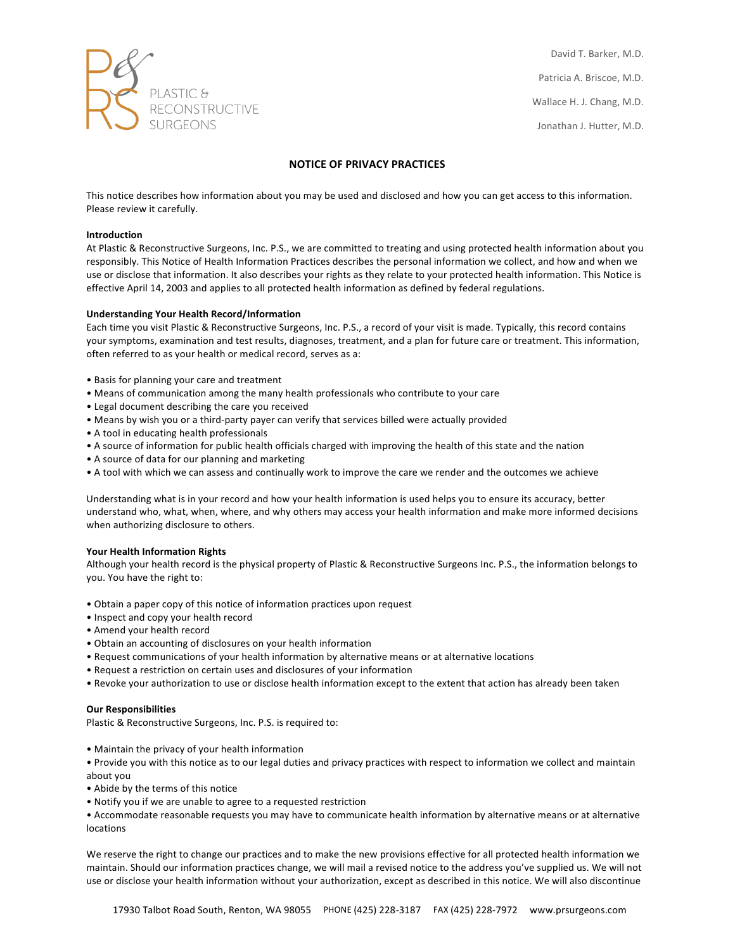

David T. Barker, M.D. Patricia A. Briscoe, M.D. Wallace H. J. Chang, M.D. Jonathan J. Hutter, M.D.

# **NOTICE OF PRIVACY PRACTICES**

This notice describes how information about you may be used and disclosed and how you can get access to this information. Please review it carefully.

# **Introduction**

At Plastic & Reconstructive Surgeons, Inc. P.S., we are committed to treating and using protected health information about you responsibly. This Notice of Health Information Practices describes the personal information we collect, and how and when we use or disclose that information. It also describes your rights as they relate to your protected health information. This Notice is effective April 14, 2003 and applies to all protected health information as defined by federal regulations.

### **Understanding Your Health Record/Information**

Each time you visit Plastic & Reconstructive Surgeons, Inc. P.S., a record of your visit is made. Typically, this record contains your symptoms, examination and test results, diagnoses, treatment, and a plan for future care or treatment. This information, often referred to as your health or medical record, serves as a:

- Basis for planning your care and treatment
- Means of communication among the many health professionals who contribute to your care
- Legal document describing the care you received
- Means by wish you or a third-party payer can verify that services billed were actually provided
- A tool in educating health professionals
- A source of information for public health officials charged with improving the health of this state and the nation
- A source of data for our planning and marketing
- A tool with which we can assess and continually work to improve the care we render and the outcomes we achieve

Understanding what is in your record and how your health information is used helps you to ensure its accuracy, better understand who, what, when, where, and why others may access your health information and make more informed decisions when authorizing disclosure to others.

### **Your Health Information Rights**

Although your health record is the physical property of Plastic & Reconstructive Surgeons Inc. P.S., the information belongs to you. You have the right to:

- Obtain a paper copy of this notice of information practices upon request
- Inspect and copy your health record
- Amend your health record
- Obtain an accounting of disclosures on your health information
- Request communications of your health information by alternative means or at alternative locations
- Request a restriction on certain uses and disclosures of your information
- Revoke your authorization to use or disclose health information except to the extent that action has already been taken

#### **Our Responsibilities**

Plastic & Reconstructive Surgeons, Inc. P.S. is required to:

• Maintain the privacy of your health information

- Provide you with this notice as to our legal duties and privacy practices with respect to information we collect and maintain about you
- Abide by the terms of this notice
- Notify you if we are unable to agree to a requested restriction

• Accommodate reasonable requests you may have to communicate health information by alternative means or at alternative locations

We reserve the right to change our practices and to make the new provisions effective for all protected health information we maintain. Should our information practices change, we will mail a revised notice to the address you've supplied us. We will not use or disclose your health information without your authorization, except as described in this notice. We will also discontinue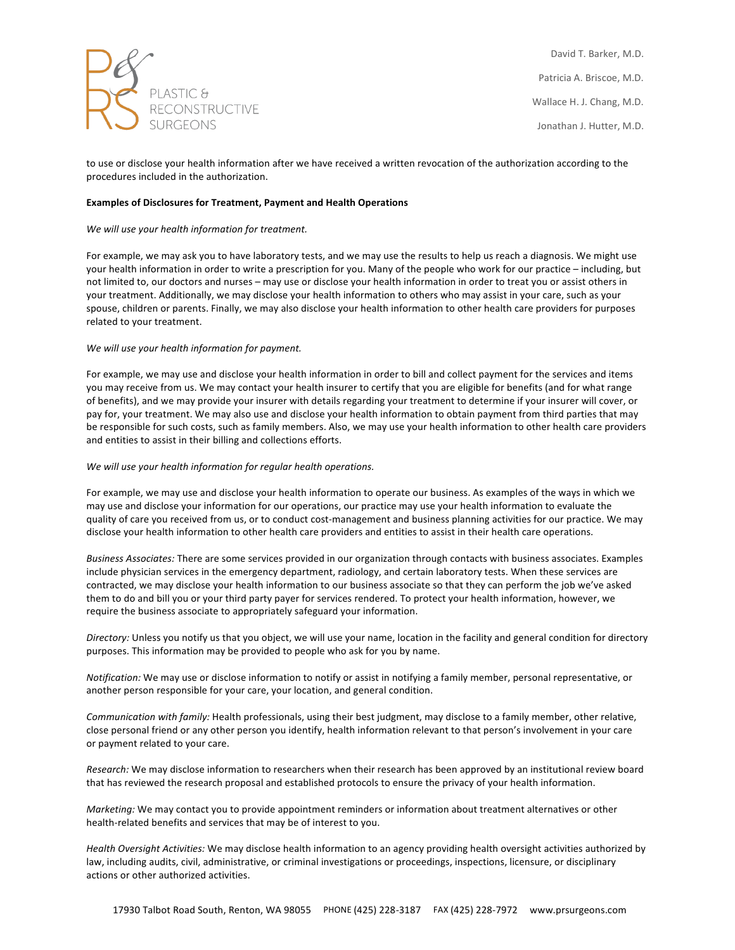

David T. Barker, M.D. Patricia A. Briscoe, M.D. Wallace H. J. Chang, M.D. Jonathan J. Hutter, M.D.

to use or disclose your health information after we have received a written revocation of the authorization according to the procedures included in the authorization.

# **Examples of Disclosures for Treatment, Payment and Health Operations**

# We will use your health information for treatment.

For example, we may ask you to have laboratory tests, and we may use the results to help us reach a diagnosis. We might use your health information in order to write a prescription for you. Many of the people who work for our practice – including, but not limited to, our doctors and nurses – may use or disclose your health information in order to treat you or assist others in your treatment. Additionally, we may disclose your health information to others who may assist in your care, such as your spouse, children or parents. Finally, we may also disclose your health information to other health care providers for purposes related to your treatment.

# We will use your health information for payment.

For example, we may use and disclose your health information in order to bill and collect payment for the services and items you may receive from us. We may contact your health insurer to certify that you are eligible for benefits (and for what range of benefits), and we may provide your insurer with details regarding your treatment to determine if your insurer will cover, or pay for, your treatment. We may also use and disclose your health information to obtain payment from third parties that may be responsible for such costs, such as family members. Also, we may use your health information to other health care providers and entities to assist in their billing and collections efforts.

### We will use your health information for regular health operations.

For example, we may use and disclose your health information to operate our business. As examples of the ways in which we may use and disclose your information for our operations, our practice may use your health information to evaluate the quality of care you received from us, or to conduct cost-management and business planning activities for our practice. We may disclose your health information to other health care providers and entities to assist in their health care operations.

Business Associates: There are some services provided in our organization through contacts with business associates. Examples include physician services in the emergency department, radiology, and certain laboratory tests. When these services are contracted, we may disclose your health information to our business associate so that they can perform the job we've asked them to do and bill you or your third party payer for services rendered. To protect your health information, however, we require the business associate to appropriately safeguard your information.

Directory: Unless you notify us that you object, we will use your name, location in the facility and general condition for directory purposes. This information may be provided to people who ask for you by name.

*Notification:* We may use or disclose information to notify or assist in notifying a family member, personal representative, or another person responsible for your care, your location, and general condition.

*Communication with family:* Health professionals, using their best judgment, may disclose to a family member, other relative, close personal friend or any other person you identify, health information relevant to that person's involvement in your care or payment related to your care.

*Research:* We may disclose information to researchers when their research has been approved by an institutional review board that has reviewed the research proposal and established protocols to ensure the privacy of your health information.

*Marketing:* We may contact you to provide appointment reminders or information about treatment alternatives or other health-related benefits and services that may be of interest to you.

Health Oversight Activities: We may disclose health information to an agency providing health oversight activities authorized by law, including audits, civil, administrative, or criminal investigations or proceedings, inspections, licensure, or disciplinary actions or other authorized activities.